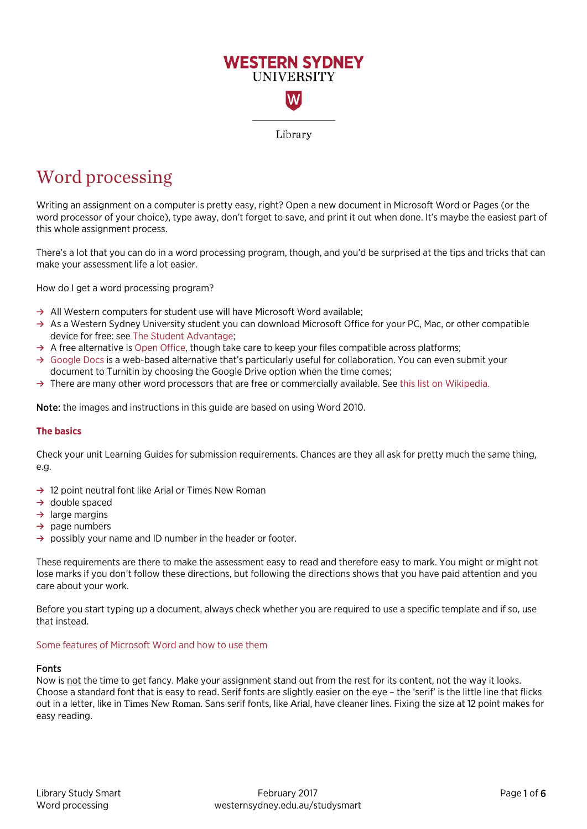

# Word processing

Writing an assignment on a computer is pretty easy, right? Open a new document in Microsoft Word or Pages (or the word processor of your choice), type away, don't forget to save, and print it out when done. It's maybe the easiest part of this whole assignment process.

There's a lot that you can do in a word processing program, though, and you'd be surprised at the tips and tricks that can make your assessment life a lot easier.

How do I get a word processing program?

- **→** All Western computers for student use will have Microsoft Word available;
- **→** As a Western Sydney University student you can download Microsoft Office for your PC, Mac, or other compatible device for free: see [The Student Advantage;](http://www.westernsydney.edu.au/currentstudents/current_students/using_uws_online_systems/student_email/student_advantage)
- **→** A free alternative i[s Open Office,](https://www.openoffice.org/) though take care to keep your files compatible across platforms;
- **→** [Google Docs](https://docs.google.com/) is a web-based alternative that's particularly useful for collaboration. You can even submit your document to Turnitin by choosing the Google Drive option when the time comes;
- **→** There are many other word processors that are free or commercially available. See [this list on Wikipedia.](https://en.wikipedia.org/wiki/List_of_word_processors)

Note: the images and instructions in this guide are based on using Word 2010.

#### **The basics**

Check your unit Learning Guides for submission requirements. Chances are they all ask for pretty much the same thing, e.g.

- **→** 12 point neutral font like Arial or Times New Roman
- **→** double spaced
- **→** large margins
- **→** page numbers
- **→** possibly your name and ID number in the header or footer.

These requirements are there to make the assessment easy to read and therefore easy to mark. You might or might not lose marks if you don't follow these directions, but following the directions shows that you have paid attention and you care about your work.

Before you start typing up a document, always check whether you are required to use a specific template and if so, use that instead.

#### Some features of Microsoft Word and how to use them

#### Fonts

Now is not the time to get fancy. Make your assignment stand out from the rest for its content, not the way it looks. Choose a standard font that is easy to read. Serif fonts are slightly easier on the eye – the 'serif' is the little line that flicks out in a letter, like in Times New Roman. Sans serif fonts, like Arial, have cleaner lines. Fixing the size at 12 point makes for easy reading.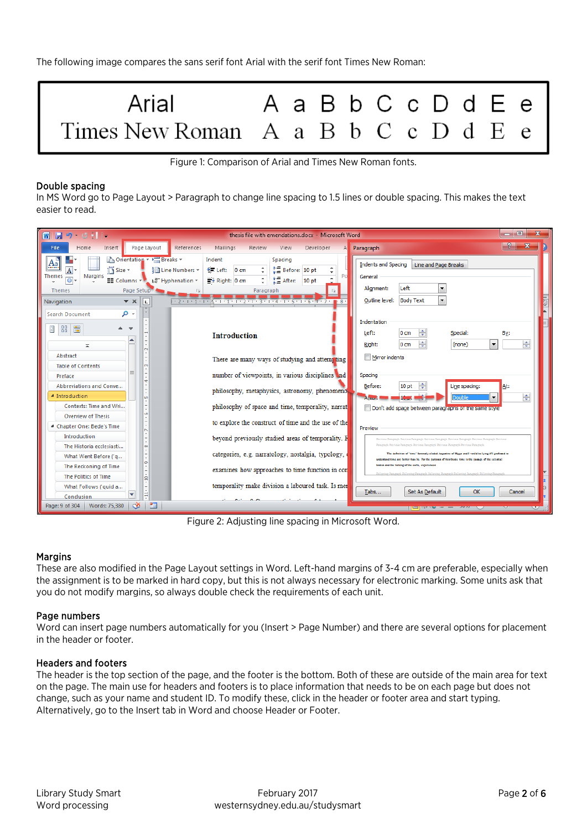The following image compares the sans serif font Arial with the serif font Times New Roman:



Figure 1: Comparison of Arial and Times New Roman fonts.

## Double spacing

In MS Word go to Page Layout > Paragraph to change line spacing to 1.5 lines or double spacing. This makes the text easier to read.

| $\blacksquare$ 9 $\blacksquare$ 1 $\blacksquare$<br>W                                                                                                                                                                                                                                                 | thesis file with emendations.docx - Microsoft Word                                                                                                                                | o                                                                                                                                                                                                                                                                                                        |
|-------------------------------------------------------------------------------------------------------------------------------------------------------------------------------------------------------------------------------------------------------------------------------------------------------|-----------------------------------------------------------------------------------------------------------------------------------------------------------------------------------|----------------------------------------------------------------------------------------------------------------------------------------------------------------------------------------------------------------------------------------------------------------------------------------------------------|
| References<br>File<br>Home<br>Insert<br>Page Layout                                                                                                                                                                                                                                                   | Mailings<br>Review<br>Developer<br>View                                                                                                                                           | Paragraph<br>$\mathsf{A}$                                                                                                                                                                                                                                                                                |
| <b>Drientation</b> v <b>E</b> Breaks v<br>$A^*$<br>$\overline{1}$ Size $\overline{.}$<br><b>Ell Line Numbers</b> ▼<br> A <br><b>Themes</b><br><b>Margins</b><br>El Columns **<br> 0 <br>$b_c^{\text{a}}$ Hyphenation $\tau$<br>Page Setup<br><b>Themes</b><br>$\mathbf{v} \times$<br>Navigation<br>L. | Indent<br>Spacing<br>t量 Before: 10 pt<br>$\geq$ Left:<br>$0 \text{ cm}$<br>*量 After: 10 pt<br>$\equiv$ * Right: 0 cm<br>Paragraph<br>反<br>$+2+1+1+1+1+1+1+2+1+3+1+4+1+5+1+6+1+7+$ | <b>Indents and Spacing</b><br>Line and Page Breaks<br>General<br>Left<br>Alignment:<br>$\overline{\phantom{a}}$<br>$\overline{\phantom{a}}$<br>Outline level:<br><b>Body Text</b>                                                                                                                        |
| - م<br><b>Search Document</b><br>88<br>冒<br>I<br>$\overline{\phantom{a}}$                                                                                                                                                                                                                             | <b>Introduction</b>                                                                                                                                                               | Indentation<br>÷<br>Left:<br>0 <sub>cm</sub><br>Special:<br>By:<br>÷<br>÷<br>$\blacktriangledown$<br>Right:<br>0 <sub>cm</sub><br>(none)                                                                                                                                                                 |
| Abstract<br><b>Table of Contents</b><br>m                                                                                                                                                                                                                                                             | There are many ways of studying and attempting                                                                                                                                    | Mirror indents                                                                                                                                                                                                                                                                                           |
| Preface<br><b>H</b>                                                                                                                                                                                                                                                                                   | number of viewpoints, in various disciplines and                                                                                                                                  | Spacing                                                                                                                                                                                                                                                                                                  |
| Abbreviations and Conve<br>▲ Introduction<br>in.                                                                                                                                                                                                                                                      | philosophy, metaphysics, astronomy, phenomenol                                                                                                                                    | Before:<br>10 <sub>pt</sub><br>Line spacing:<br>At:<br>÷<br>Angel<br>10 pt 1<br>Double                                                                                                                                                                                                                   |
| Contexts: Time and Wri                                                                                                                                                                                                                                                                                | philosophy of space and time, temporality, narrat                                                                                                                                 | Don't add space between paragraphs of the same style                                                                                                                                                                                                                                                     |
| G<br><b>Overview of Thesis</b><br>4 Chapter One: Bede's Time                                                                                                                                                                                                                                          | to explore the construct of time and the use of the                                                                                                                               | Preview                                                                                                                                                                                                                                                                                                  |
| <b>Introduction</b>                                                                                                                                                                                                                                                                                   | beyond previously studied areas of temporality. F                                                                                                                                 | Provious Paragraph Provious Paragraph Provious Paragraph Provious Paragraph Provious Paragraph Provious                                                                                                                                                                                                  |
| The Historia ecclesiasti<br>$\infty$<br>What Went Before ('q                                                                                                                                                                                                                                          | categories, e.g. narratology, nostalgia, typology,                                                                                                                                | Paragraph Provious Paragraph Provious Paragraph Provious Paragraph Provious Paragraph<br>The definition of 'time' famously cluded Augustine of Higgs and I would be lying if I professed to<br>understand time any better than he. For the rurnoges of this thesis, time is the rassace of the celestial |
| ۱.<br>The Reckoning of Time                                                                                                                                                                                                                                                                           | examines how approaches to time function in cor                                                                                                                                   | bodies and the turning of the earth, experienced                                                                                                                                                                                                                                                         |
| The Politics of Time<br>ş                                                                                                                                                                                                                                                                             |                                                                                                                                                                                   |                                                                                                                                                                                                                                                                                                          |
| What Follows ('quid a<br>÷<br>д                                                                                                                                                                                                                                                                       | temporality make division a laboured task. Is mer                                                                                                                                 | OK<br>Tabs<br>Set As Default<br>Cancel                                                                                                                                                                                                                                                                   |
| Conclusion<br>P.<br>c8<br>Words: 75,380<br>Page: 9 of 304                                                                                                                                                                                                                                             |                                                                                                                                                                                   |                                                                                                                                                                                                                                                                                                          |
|                                                                                                                                                                                                                                                                                                       |                                                                                                                                                                                   | <b>THE REAL PROPERTY</b>                                                                                                                                                                                                                                                                                 |

Figure 2: Adjusting line spacing in Microsoft Word.

## Margins

These are also modified in the Page Layout settings in Word. Left-hand margins of 3-4 cm are preferable, especially when the assignment is to be marked in hard copy, but this is not always necessary for electronic marking. Some units ask that you do not modify margins, so always double check the requirements of each unit.

## Page numbers

Word can insert page numbers automatically for you (Insert > Page Number) and there are several options for placement in the header or footer.

#### Headers and footers

The header is the top section of the page, and the footer is the bottom. Both of these are outside of the main area for text on the page. The main use for headers and footers is to place information that needs to be on each page but does not change, such as your name and student ID. To modify these, click in the header or footer area and start typing. Alternatively, go to the Insert tab in Word and choose Header or Footer.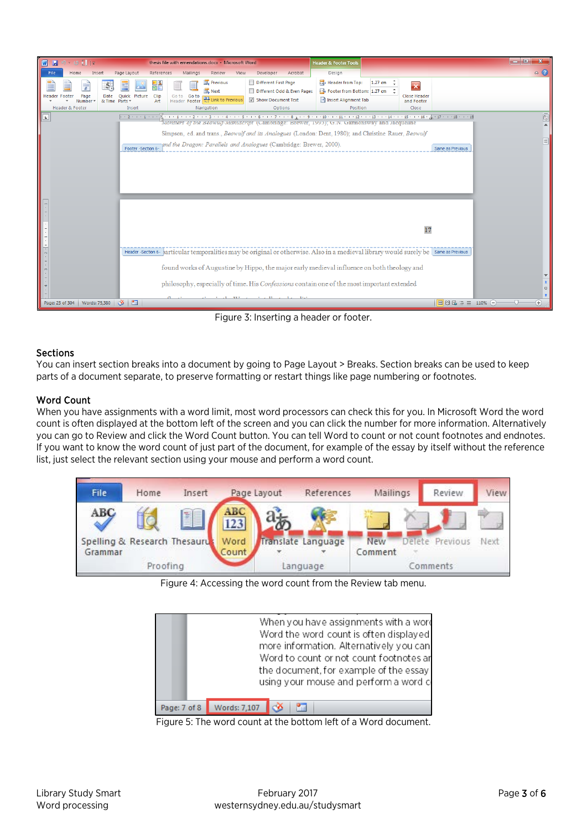

Figure 3: Inserting a header or footer.

# Sections

You can insert section breaks into a document by going to Page Layout > Breaks. Section breaks can be used to keep parts of a document separate, to preserve formatting or restart things like page numbering or footnotes.

# Word Count

When you have assignments with a word limit, most word processors can check this for you. In Microsoft Word the word count is often displayed at the bottom left of the screen and you can click the number for more information. Alternatively you can go to Review and click the Word Count button. You can tell Word to count or not count footnotes and endnotes. If you want to know the word count of just part of the document, for example of the essay by itself without the reference list, just select the relevant section using your mouse and perform a word count.



Figure 4: Accessing the word count from the Review tab menu.

|              | When you have assignments with a word<br>Word the word count is often displayed<br>more information. Alternatively you can<br>Word to count or not count footnotes ar<br>the document, for example of the essay<br>using your mouse and perform a word of |
|--------------|-----------------------------------------------------------------------------------------------------------------------------------------------------------------------------------------------------------------------------------------------------------|
| Page: 7 of 8 | Words: 7,107<br>Æ                                                                                                                                                                                                                                         |

Figure 5: The word count at the bottom left of a Word document.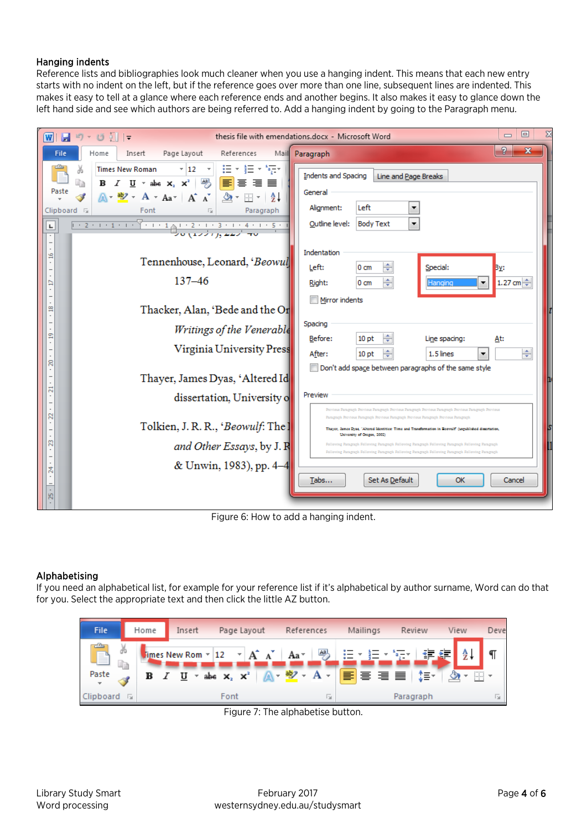## Hanging indents

Reference lists and bibliographies look much cleaner when you use a hanging indent. This means that each new entry starts with no indent on the left, but if the reference goes over more than one line, subsequent lines are indented. This makes it easy to tell at a glance where each reference ends and another begins. It also makes it easy to glance down the left hand side and see which authors are being referred to. Add a hanging indent by going to the Paragraph menu.

| $ \mathbf{w} $                        | 同<br>$\mathbf{H}$ り・び 割上<br>thesis file with emendations.docx - Microsoft Word<br>$\Box$                                                                                                                                                                                                                                                                                          |                                                                                                                                                                                                                                           |  |  |  |  |  |  |
|---------------------------------------|-----------------------------------------------------------------------------------------------------------------------------------------------------------------------------------------------------------------------------------------------------------------------------------------------------------------------------------------------------------------------------------|-------------------------------------------------------------------------------------------------------------------------------------------------------------------------------------------------------------------------------------------|--|--|--|--|--|--|
| <b>File</b>                           | Page Layout<br>Home<br>References<br>Insert                                                                                                                                                                                                                                                                                                                                       | P<br>x<br>Mail Paragraph                                                                                                                                                                                                                  |  |  |  |  |  |  |
| Paste<br>Clipboard <sub>IS</sub><br>ш | $\mathbf{v} \left[ 12 - \mathbf{v} \right] \left[ \frac{11}{12} \mathbf{v} \right] \frac{1}{2} \frac{1}{2} \mathbf{v} \left[ \frac{1}{2} \frac{1}{2} \mathbf{v} \right]$<br><b>Times New Roman</b><br><b>B</b> <i>I</i> <u>U</u> * abe x <sub>2</sub> x <sup>2</sup>   吗   <mark>事</mark> 事 理 ■<br>ħ<br>$A - B$ + $A - A$ + $A - A$ + $A - A$ + $B - A$<br>Font<br>Paragraph<br>長 | <b>Indents and Spacing</b><br>Line and Page Breaks<br>General<br>Left<br>Alignment:<br>▼<br>$\overline{\phantom{a}}$<br>Outline level:<br><b>Body Text</b>                                                                                |  |  |  |  |  |  |
| g<br>₽                                | Tennenhouse, Leonard, 'Beowul<br>$137 - 46$                                                                                                                                                                                                                                                                                                                                       | Indentation<br>÷<br>Left:<br>Special:<br>0 <sub>cm</sub><br>By:<br>÷<br>$1.27$ cm $\Rightarrow$<br>Right:<br>$0 \text{ cm}$<br>۰<br>Hanging                                                                                               |  |  |  |  |  |  |
| $\overline{a}$                        | Thacker, Alan, 'Bede and the Or                                                                                                                                                                                                                                                                                                                                                   | Mirror indents                                                                                                                                                                                                                            |  |  |  |  |  |  |
| g<br>g                                | Writings of the Venerable<br>Virginia University Press                                                                                                                                                                                                                                                                                                                            | Spacing<br>Before:<br>10 <sub>pt</sub><br>Line spacing:<br>At:<br>÷<br>After:<br>1.5 lines<br>10 <sub>pt</sub><br>۰<br>Don't add space between paragraphs of the same style                                                               |  |  |  |  |  |  |
|                                       | Thayer, James Dyas, 'Altered Id                                                                                                                                                                                                                                                                                                                                                   |                                                                                                                                                                                                                                           |  |  |  |  |  |  |
| ನ<br>R                                | dissertation, University o                                                                                                                                                                                                                                                                                                                                                        | Preview<br>Provious Paragraph Provious Paragraph Provious Paragraph Provious Paragraph Provious Paragraph Provious                                                                                                                        |  |  |  |  |  |  |
|                                       | Tolkien, J. R. R., 'Beowulf: The ]                                                                                                                                                                                                                                                                                                                                                | Pasagraph Province Pasagraph Province Pasagraph Province Pasagraph Province Pasagraph<br>Thaver, Ismes Dyas, "Altered Identities: Time and Transformation in Records" (unrubitdued dissertation,                                          |  |  |  |  |  |  |
| R                                     | and Other Essays, by J. R                                                                                                                                                                                                                                                                                                                                                         | University of Oregon, 2002)<br>Following Paragraph Following Paragraph Following Paragraph Following Paragraph Following Paragraph<br>Following Paragraph Following Paragraph Following Paragraph Following Paragraph Following Paragraph |  |  |  |  |  |  |
| షే                                    | & Unwin, 1983), pp. 4-4                                                                                                                                                                                                                                                                                                                                                           |                                                                                                                                                                                                                                           |  |  |  |  |  |  |
| Ю                                     |                                                                                                                                                                                                                                                                                                                                                                                   | Set As Default<br>OK<br>Tabs<br>Cancel                                                                                                                                                                                                    |  |  |  |  |  |  |

Figure 6: How to add a hanging indent.

# Alphabetising

If you need an alphabetical list, for example for your reference list if it's alphabetical by author surname, Word can do that for you. Select the appropriate text and then click the little AZ button.



Figure 7: The alphabetise button.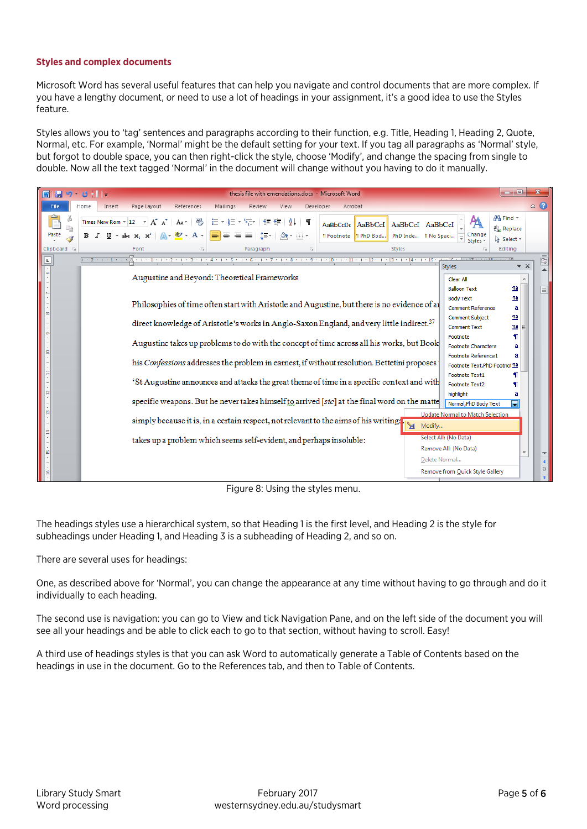## **Styles and complex documents**

Microsoft Word has several useful features that can help you navigate and control documents that are more complex. If you have a lengthy document, or need to use a lot of headings in your assignment, it's a good idea to use the Styles feature.

Styles allows you to 'tag' sentences and paragraphs according to their function, e.g. Title, Heading 1, Heading 2, Quote, Normal, etc. For example, 'Normal' might be the default setting for your text. If you tag all paragraphs as 'Normal' style, but forgot to double space, you can then right-click the style, choose 'Modify', and change the spacing from single to double. Now all the text tagged 'Normal' in the document will change without you having to do it manually.

| $H = 0.011$<br>$ \mathbf{w} $ |                                                                                                                                                                      |                                                       | thesis file with emendations.docx - Microsoft Word                                                                 |           |                                   |                                              |                                                       |                                      |                         |
|-------------------------------|----------------------------------------------------------------------------------------------------------------------------------------------------------------------|-------------------------------------------------------|--------------------------------------------------------------------------------------------------------------------|-----------|-----------------------------------|----------------------------------------------|-------------------------------------------------------|--------------------------------------|-------------------------|
| File<br>Home                  | Page Layout<br>Insert                                                                                                                                                | Mailings<br>References                                | Review<br>View                                                                                                     | Developer | Acrobat                           |                                              |                                                       |                                      | $\triangle$ (?)         |
| Paste                         | Times New Rom * 12<br>$U \times abc \times x^2$                                                                                                                      | $Aa - \frac{Aa}{2}$<br>iE +<br>$\frac{ab^2}{ }$ + A + | 拒<br>·信徒 第二年<br>$\pm \frac{1}{2} \frac{1}{2} \pm \frac{1}{2}$<br>EE E E<br>-2를~ 비<br>$\mathbf{2}$ + $\mathbf{H}$ + | AaBbCcDc  | AaBbCcI<br>T Footnote   T PhD Bod | AaBbCcI AaBbCcI<br>PhD Inde   No Spaci       | Change<br>Styles *                                    | 44 Find ▼<br>ab, Replace<br>Select - |                         |
| Clipboard <b>G</b>            | Font                                                                                                                                                                 |                                                       | Paragraph                                                                                                          | 局         | <b>Styles</b>                     |                                              |                                                       | Editing                              |                         |
| L.                            | $-2$ + 1 + 1 + 1 +                                                                                                                                                   |                                                       | . 1 2 3 4 5 6 7 8 9 10 11 12 13 .                                                                                  |           |                                   | $1 \cdot 14 \cdot 1 \cdot 15$                | <b>Styles</b>                                         | $\star \times$                       | ū                       |
|                               |                                                                                                                                                                      |                                                       | Augustine and Beyond: Theoretical Frameworks                                                                       |           |                                   |                                              | Clear All<br><b>Balloon Text</b>                      | <u>¶a</u>                            | $\equiv$                |
|                               | Philosophies of time often start with Aristotle and Augustine, but there is no evidence of a                                                                         |                                                       |                                                                                                                    |           |                                   | <b>Body Text</b><br><b>Comment Reference</b> | $\underline{\mathbf{m}}$<br>a                         |                                      |                         |
| $\circ$<br>$\sigma$           | direct knowledge of Aristotle's works in Anglo-Saxon England, and very little indirect. <sup>37</sup>                                                                |                                                       |                                                                                                                    |           |                                   | Comment Subject<br><b>Comment Text</b>       | $\underline{\mathbf{m}}$<br>$\underline{\mathbf{na}}$ |                                      |                         |
| Ξ                             | Footnote<br>Augustine takes up problems to do with the concept of time across all his works, but Book<br><b>Footnote Characters</b><br>а                             |                                                       |                                                                                                                    |           |                                   |                                              |                                                       |                                      |                         |
|                               | Footnote Reference 1<br>a<br>his Confessions addresses the problem in earnest, if without resolution. Bettetini proposes<br>Footnote Text, PhD Footnot <sup>11</sup> |                                                       |                                                                                                                    |           |                                   |                                              |                                                       |                                      |                         |
|                               | 'St Augustine announces and attacks the great theme of time in a specific context and with                                                                           |                                                       |                                                                                                                    |           |                                   | <b>Footnote Text1</b><br>Footnote Text2      |                                                       |                                      |                         |
| $\mathbf{r}$                  |                                                                                                                                                                      |                                                       | specific weapons. But he never takes himself to arrived [sic] at the final word on the matte                       |           |                                   |                                              | highlight<br>Normal, PhD Body Text                    | а                                    |                         |
| e<br>E,                       |                                                                                                                                                                      |                                                       | simply because it is, in a certain respect, not relevant to the aims of his writing.                               |           |                                   | M.<br>Modify                                 | <b>Update Normal to Match Selection</b>               |                                      |                         |
|                               | takes up a problem which seems self-evident, and perhaps insoluble:                                                                                                  |                                                       |                                                                                                                    |           |                                   | Select All: (No Data)                        |                                                       |                                      |                         |
| 兽                             |                                                                                                                                                                      |                                                       |                                                                                                                    |           |                                   |                                              | Remove All: (No Data)                                 |                                      | $\overline{\mathbf{v}}$ |
|                               | Delete Normal                                                                                                                                                        |                                                       |                                                                                                                    |           |                                   |                                              |                                                       |                                      | 类<br>$\circ$            |
|                               |                                                                                                                                                                      |                                                       |                                                                                                                    |           |                                   |                                              | Remove from Quick Style Gallery                       |                                      |                         |

Figure 8: Using the styles menu.

The headings styles use a hierarchical system, so that Heading 1 is the first level, and Heading 2 is the style for subheadings under Heading 1, and Heading 3 is a subheading of Heading 2, and so on.

There are several uses for headings:

One, as described above for 'Normal', you can change the appearance at any time without having to go through and do it individually to each heading.

The second use is navigation: you can go to View and tick Navigation Pane, and on the left side of the document you will see all your headings and be able to click each to go to that section, without having to scroll. Easy!

A third use of headings styles is that you can ask Word to automatically generate a Table of Contents based on the headings in use in the document. Go to the References tab, and then to Table of Contents.